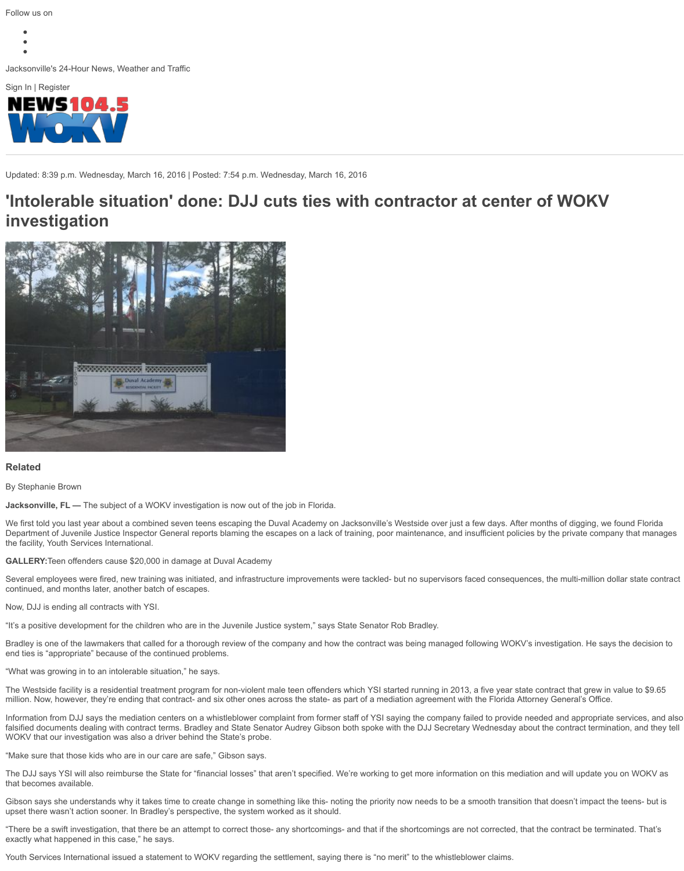

#### **[Related](http://www.wokv.com/)**

By Stephanie Brown

**Jacksonville, FL —** The subject of a WOKV investigation is now out of the job in Florida.

We first told you last year about a combined seven teens escaping the Duval Academy on Jacksonville's Westside Department of Juvenile Justice Inspector General reports blaming the escapes on a lack of training, poor maintena the facility, Youth Services International.

**GALLERY:**Teen offenders cause \$20,000 in damage at Duval Academy

Several employees were fired, new training was initiated, and infrastructure improvements were tackled- but no su continued, and months later, another batch of escapes.

Now, DJJ is ending all contracts with YSI.

"It's a positive development for the children who are in the Juvenile Justice system," says State Senator Rob Bradl

Bradley is one of the lawmakers that called for a thorough review of the company and how the contract was being end ties is "appropriate" because of the continued problems.

"What was growing in to an intolerable situation," he says.

The Westside facility is a residential treatment program for non-violent male teen offenders which YSI started runn million. Now, however, they're ending that contract- and six other ones across the state- as part of a mediation agr

Information from DJJ says the mediation centers on a whistleblower complaint from former staff of YSI saying the falsified documents dealing with contract terms. Bradley and State Senator Audrey Gibson both spoke with the DJ WOKV that our investigation was also a driver behind the State's probe.

"Make sure that those kids who are in our care are safe," Gibson says.

The DJJ says YSI will also reimburse the State for "financial losses" that aren't specified. We're working to get more that becomes available.

Gi[bson says she und](http://www.wokv.com/staff/stephanie-brown/)erstands why it takes time to create change in something like this- noting the priority now nee upset there wasn't action sooner. In Bradley's perspective, the system worked as it should.

"There be a swift investigation, that there be an attempt to correct those- any shortcomings- and that if the shortco [exactly what happened in this case," he says.](http://www.wokv.com/news/news/local/seven-duval-teens-escape-youth-offender-treatment-/njmcH/)

Youth Services International issued a statement to WOKV regarding the settlement, saying there is "no merit" to th